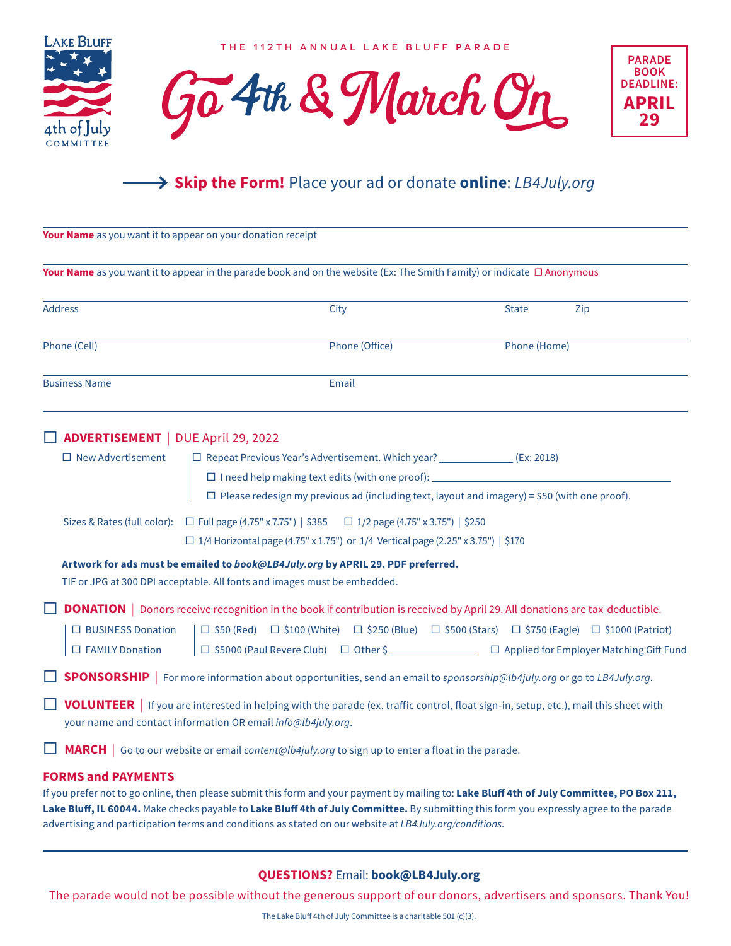

THE 112TH ANNUAL LAKE BLUFF PARADE





## **Skip the Form!** Place your ad or donate **online**: *LB4July.org*

| Your Name as you want it to appear on your donation receipt |                                                                                                                                                                                                                                                                                                                                                                                                  |                |              |     |
|-------------------------------------------------------------|--------------------------------------------------------------------------------------------------------------------------------------------------------------------------------------------------------------------------------------------------------------------------------------------------------------------------------------------------------------------------------------------------|----------------|--------------|-----|
|                                                             | Your Name as you want it to appear in the parade book and on the website (Ex: The Smith Family) or indicate $\Box$ Anonymous                                                                                                                                                                                                                                                                     |                |              |     |
| <b>Address</b>                                              | City                                                                                                                                                                                                                                                                                                                                                                                             |                | <b>State</b> | Zip |
| Phone (Cell)                                                |                                                                                                                                                                                                                                                                                                                                                                                                  | Phone (Office) | Phone (Home) |     |
| <b>Business Name</b>                                        |                                                                                                                                                                                                                                                                                                                                                                                                  | Email          |              |     |
| <b>ADVERTISEMENT</b>   DUE April 29, 2022                   |                                                                                                                                                                                                                                                                                                                                                                                                  |                |              |     |
| $\Box$ New Advertisement                                    | □ Repeat Previous Year's Advertisement. Which year? ________________(Ex: 2018)<br>□ I need help making text edits (with one proof): ______________________________<br>$\Box$ Please redesign my previous ad (including text, layout and imagery) = \$50 (with one proof).                                                                                                                        |                |              |     |
|                                                             | Sizes & Rates (full color): □ Full page (4.75" x 7.75")   \$385 □ 1/2 page (4.75" x 3.75")   \$250<br>□ 1/4 Horizontal page (4.75" x 1.75") or 1/4 Vertical page (2.25" x 3.75")   \$170                                                                                                                                                                                                         |                |              |     |
|                                                             | Artwork for ads must be emailed to book@LB4July.org by APRIL 29. PDF preferred.<br>TIF or JPG at 300 DPI acceptable. All fonts and images must be embedded.                                                                                                                                                                                                                                      |                |              |     |
| $\Box$ BUSINESS Donation<br>□ FAMILY Donation               | <b>DONATION</b>   Donors receive recognition in the book if contribution is received by April 29. All donations are tax-deductible.<br>$\Box$ \$50 (Red) $\Box$ \$100 (White) $\Box$ \$250 (Blue) $\Box$ \$500 (Stars) $\Box$ \$750 (Eagle) $\Box$ \$1000 (Patriot)                                                                                                                              |                |              |     |
|                                                             | <b>SPONSORSHIP</b>   For more information about opportunities, send an email to sponsorship@lb4july.org or go to LB4July.org.                                                                                                                                                                                                                                                                    |                |              |     |
|                                                             | VOLUNTEER   If you are interested in helping with the parade (ex. traffic control, float sign-in, setup, etc.), mail this sheet with<br>your name and contact information OR email info@lb4july.org.                                                                                                                                                                                             |                |              |     |
|                                                             | <b>MARCH</b> Go to our website or email content@lb4july.org to sign up to enter a float in the parade.                                                                                                                                                                                                                                                                                           |                |              |     |
| <b>FORMS and PAYMENTS</b>                                   | If you prefer not to go online, then please submit this form and your payment by mailing to: Lake Bluff 4th of July Committee, PO Box 211,<br>Lake Bluff, IL 60044. Make checks payable to Lake Bluff 4th of July Committee. By submitting this form you expressly agree to the parade<br>advertising and participation terms and conditions as stated on our website at LB4July.org/conditions. |                |              |     |

## **QUESTIONS?** Email: **book@LB4July.org**

The parade would not be possible without the generous support of our donors, advertisers and sponsors. Thank You!